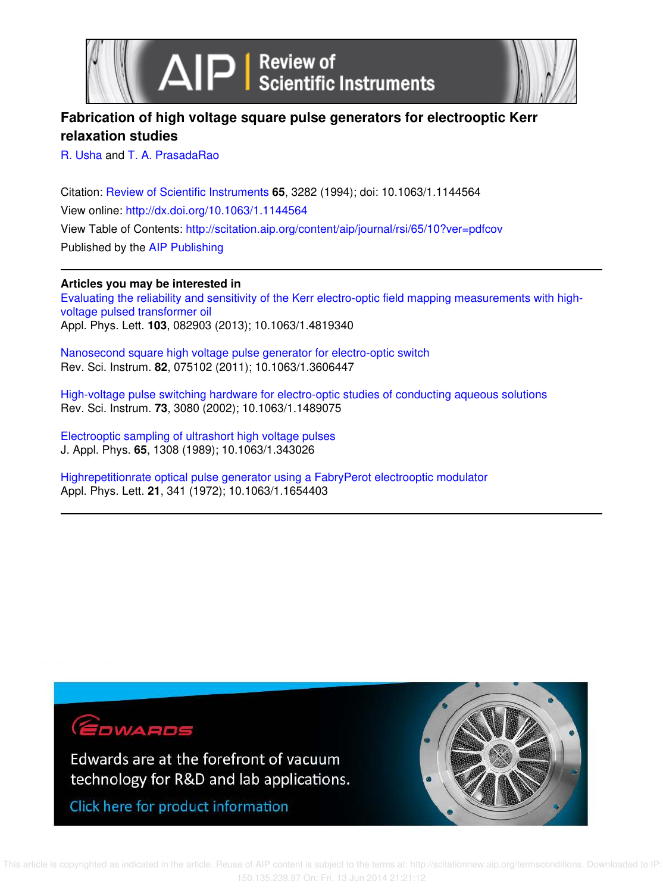



# **Fabrication of high voltage square pulse generators for electrooptic Kerr relaxation studies**

R. Usha and T. A. PrasadaRao

Citation: Review of Scientific Instruments **65**, 3282 (1994); doi: 10.1063/1.1144564 View online: http://dx.doi.org/10.1063/1.1144564 View Table of Contents: http://scitation.aip.org/content/aip/journal/rsi/65/10?ver=pdfcov Published by the AIP Publishing

# **Articles you may be interested in**

Evaluating the reliability and sensitivity of the Kerr electro-optic field mapping measurements with highvoltage pulsed transformer oil Appl. Phys. Lett. **103**, 082903 (2013); 10.1063/1.4819340

Nanosecond square high voltage pulse generator for electro-optic switch Rev. Sci. Instrum. **82**, 075102 (2011); 10.1063/1.3606447

High-voltage pulse switching hardware for electro-optic studies of conducting aqueous solutions Rev. Sci. Instrum. **73**, 3080 (2002); 10.1063/1.1489075

Electrooptic sampling of ultrashort high voltage pulses J. Appl. Phys. **65**, 1308 (1989); 10.1063/1.343026

Highrepetitionrate optical pulse generator using a FabryPerot electrooptic modulator Appl. Phys. Lett. **21**, 341 (1972); 10.1063/1.1654403

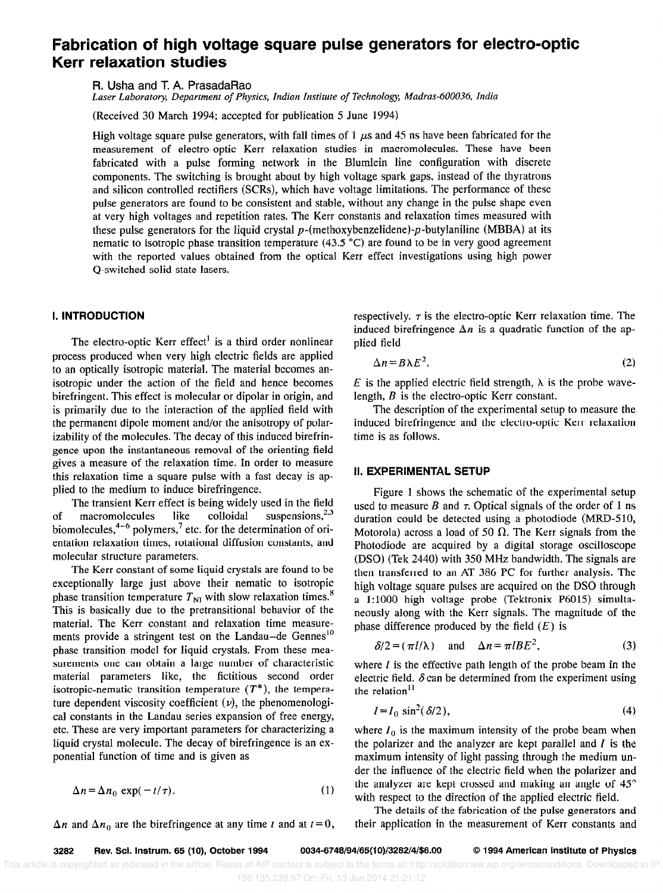# Fabrication of high voltage square pulse generators for electro-optic Kerr relaxation studies

FL Usha and T. A. PrasadaRao

Laser Laboratory, Department of Physics, Indian Institute of Technology, Madras-600036, India

(Received 30 March 1994; accepted for publication 5 June 1994)

High voltage square pulse generators, with fall times of 1  $\mu$ s and 45 ns have been fabricated for the measurement of electro-optic Kerr relaxation studies in macromolecules. These have been fabricated with a pulse forming network in the Blumlein line configuration with discrete components. The switching is brought about by high voltage spark gaps, instead of the thyratrons and silicon controlled rectifiers (SCRs), which have voltage limitations. The performance of these pulse generators are found to be consistent and stable, without any change in the pulse shape even at very high voltages and repetition rates. The Kerr constants and relaxation times measured with these pulse generators for the liquid crystal  $p$ -(methoxybenzelidene)- $p$ -butylaniline (MBBA) at its nematic to isotropic phase transition temperature (43.5 "C) are found to be in very good agreement with the reported values obtained from the optical Kerr effect investigations using high power Q-switched solid state lasers.

# I. INTRODUCTION

The electro-optic Kerr effect<sup>1</sup> is a third order nonlinear process produced when very high electric fields are applied to an optically isotropic material. The material becomes anisotropic under the action of the field and hence becomes birefringent. This effect is molecular or dipolar in origin, and is primarily due to the interaction of the applied field with the permanent dipole moment and/or the anisotropy of polarizability of the molecules. The decay of this induced birefringence upon the instantaneous removal of the orienting field gives a measure of the relaxation time. In order to measure this relaxation time a square pulse with a fast decay is applied to the medium to induce birefringence.

The transient Kerr effect is being widely used in the field of macromolecules like colloidal suspensions,  $2.3$ biomolecules,  $4-6$  polymers,  $7$  etc. for the determination of orientation relaxation times, rotational diffusion constants, and molecular structure parameters.

The Kerr constant of some liquid crystals are found to be exceptionally large just above their nematic to isotropic phase transition temperature  $T_{\text{NI}}$  with slow relaxation times.<sup>8</sup> This is basically due to the pretransitional behavior of the material. The Kerr constant and relaxation time measurements provide a stringent test on the Landau-de Gennes<sup>10</sup> phase transition model for liquid crystals. From these measurements one can obtain a large number of characteristic material parameters like, the fictitious second order isotropic-nematic transition temperature  $(T^*)$ , the temperature dependent viscosity coefficient  $(v)$ , the phenomenological constants in the Landau series expansion of free energy, etc. These are very important parameters for characterizing a liquid crystal molecule. The decay of birefringence is an exponential function of time and is given as

$$
\Delta n = \Delta n_0 \exp(-t/\tau). \tag{1}
$$

 $\Delta n$  and  $\Delta n_0$  are the birefringence at any time t and at  $t = 0$ ,

respectively.  $\tau$  is the electro-optic Kerr relaxation time. The induced birefringence  $\Delta n$  is a quadratic function of the applied field

$$
\Delta n = B\lambda E^2. \tag{2}
$$

E is the applied electric field strength,  $\lambda$  is the probe wavelength, B is the electro-optic Kerr constant.

The description of the experimental setup to measure the induced birefringence and the electro-optic Kerr relaxation time is as follows.

### II. EXPERIMENTAL SETUP

Figure 1 shows the schematic of the experimental setup used to measure B and  $\tau$ . Optical signals of the order of 1 ns duration could be detected using a photodiode (MRD-510, Motorola) across a load of 50  $\Omega$ . The Kerr signals from the Photodiode are acquired by a digital storage oscilloscope (DSQ) (Tek 2440) with 350 MHz bandwidth. The signals are then transferred to an AT 386 PC for further analysis. The high voltage square pulses are acquired on the DSO through a 1:iOOO high voltage probe (Tektronix P6015) simultaneously along with the Kerr signals. The magnitude of the phase difference produced by the field  $(E)$  is

$$
\delta/2 = (\pi l/\lambda) \quad \text{and} \quad \Delta n = \pi l B E^2, \tag{3}
$$

where  $l$  is the effective path length of the probe beam in the electric field.  $\delta$  can be determined from the experiment using the relation<sup>11</sup>

$$
I = I_0 \sin^2(\delta/2),\tag{4}
$$

where  $I_0$  is the maximum intensity of the probe beam when the polarizer and the analyzer are kept parallel and  $I$  is the maximum intensity of light passing through the medium under the influence of the electric field when the polarizer and the analyzer are kept crossed and making an angle of  $45^{\circ}$ with respect to the direction of the applied electric field.

The details of the fabrication of the pulse generators and their application in the measurement of Kerr constants and

3282 Rev. Sci. Instrum. 65 (10), October 1994 0034-6748/94/65(10)/3282/4/\$6.00 © 1994 American Institute of Physics

 This article is copyrighted as indicated in the article. Reuse of AIP content is subject to the terms at: http://scitationnew.aip.org/termsconditions. Downloaded to IP: 150.135.239.97 On: Fri, 13 Jun 2014 21:21:12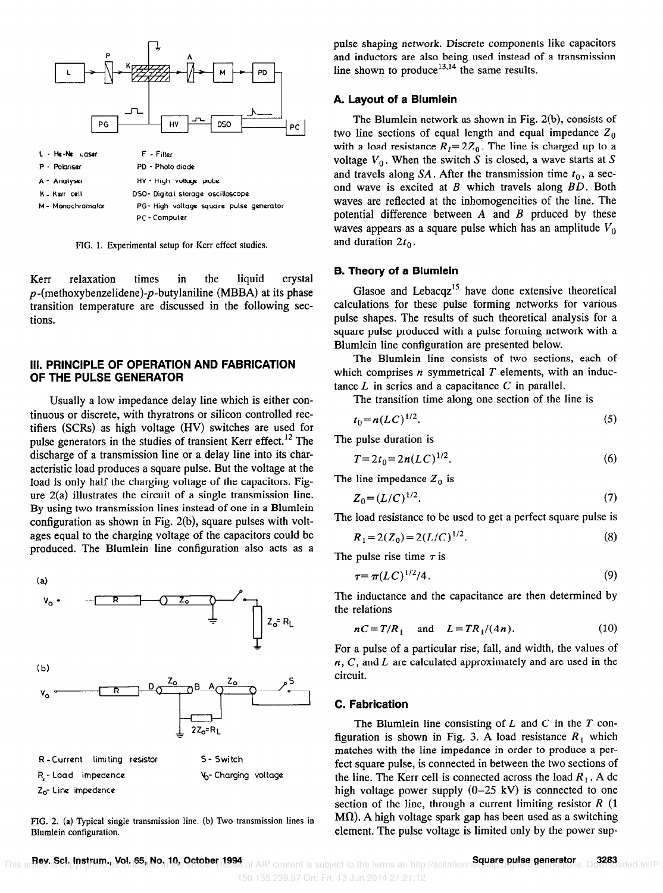

FIG. 1. Experimental setup for Kerr effect studies.

Kerr relaxation times in the liquid crystal  $p$ -(methoxybenzelidene)- $p$ -butylaniline (MBBA) at its phase transition temperature are discussed in the following sections.

# III. PRlNClPLE OF OPERATION AND FABRICATION OF THE PULSE GENERATOR

Usually a low impedance delay line which is either continuous or discrete, with thyratrons or silicon controlled rectifiers (SCRs) as high voltage (HV) switches are used for pulse generators in the studies of transient Kerr effect.<sup>12</sup> The discharge of a transmission line or a delay line into its characteristic load produces a square pulse. But the voltage at the load is only half the charging voltage of the capacitors. Figure 2(a) illustrates the circuit of a single transmission line. By using two transmission lines instead of one in a Blumlein configuration as shown in Fig. 2(b), square pulses with voltages equal to the charging voltage of the capacitors could be produced. The Blumlein line configuration also acts as a



FIG. 2. (a) Typical single transmission line. (b) Two transmission lines in Blumlein configuration.

pulse shaping network. Discrete components like capacitors and inductors are also being used instead of a transmission line shown to produce<sup>13,14</sup> the same results.

# A. Layout of a Blumlein

The Blumlein network as shown in Fig. 2(b), consists of two line sections of equal length and equal impedance  $Z_0$ with a load resistance  $R_1 = 2Z_0$ . The line is charged up to a voltage  $V_0$ . When the switch S is closed, a wave starts at S and travels along SA. After the transmission time  $t_0$ , a second wave is excited at  $B$  which travels along  $BD$ . Both waves are reflected at the inhomogeneities of the line. The potential difference between  $A$  and  $B$  prduced by these waves appears as a square pulse which has an amplitude  $V_0$ and duration  $2t_0$ .

#### B. Theory of a Blumlein

Glasoe and Lebacq $z^{15}$  have done extensive theoretical calculations for these pulse forming networks for various pulse shapes. The results of such theoretical analysis for a square pulse produced with a pulse forming network with a Blumlein line configuration are presented below.

The Blumlein line consists of two sections, each of which comprises  $n$  symmetrical  $T$  elements, with an inductance  $L$  in series and a capacitance  $C$  in parallel.

The transition time along one section of the line is

$$
t_0 = n(LC)^{1/2}.
$$
 (5)

The pulse duration is

$$
T = 2t_0 = 2n(LC)^{1/2}.
$$
 (6)

The line impedance  $Z_0$  is

$$
Z_0 = (L/C)^{1/2}.\tag{7}
$$

The load resistance to be used to get a perfect square pulse is

$$
R_1 = 2(Z_0) = 2(L/C)^{1/2}.
$$
 (8)

The pulse rise time  $\tau$  is

$$
\tau = \pi (LC)^{1/2}/4. \tag{9}
$$

The inductance and the capacitance are then determined by the relations

$$
nC = T/R_1 \quad \text{and} \quad L = TR_1/(4n). \tag{10}
$$

For a pulse of a particular rise, fall, and width, the values of  $n, C$ , and  $L$  are calculated approximately and are used in the circuit.

#### C. Fabrication

The Blumlein line consisting of  $L$  and  $C$  in the  $T$  configuration is shown in Fig. 3. A load resistance  $R_1$  which matches with the line impedance in order to produce a perfect square pulse, is connected in between the two sections of the line. The Kerr cell is connected across the load  $R_1$ . A dc high voltage power supply  $(0-25 \text{ kV})$  is connected to one section of the line, through a current limiting resistor  $R(1)$  $M<sub>1</sub>$ ). A high voltage spark gap has been used as a switching element. The pulse voltage is limited only by the power sup-

150.135.239.97 On: Fri, 13 Jun 2014 21:21:12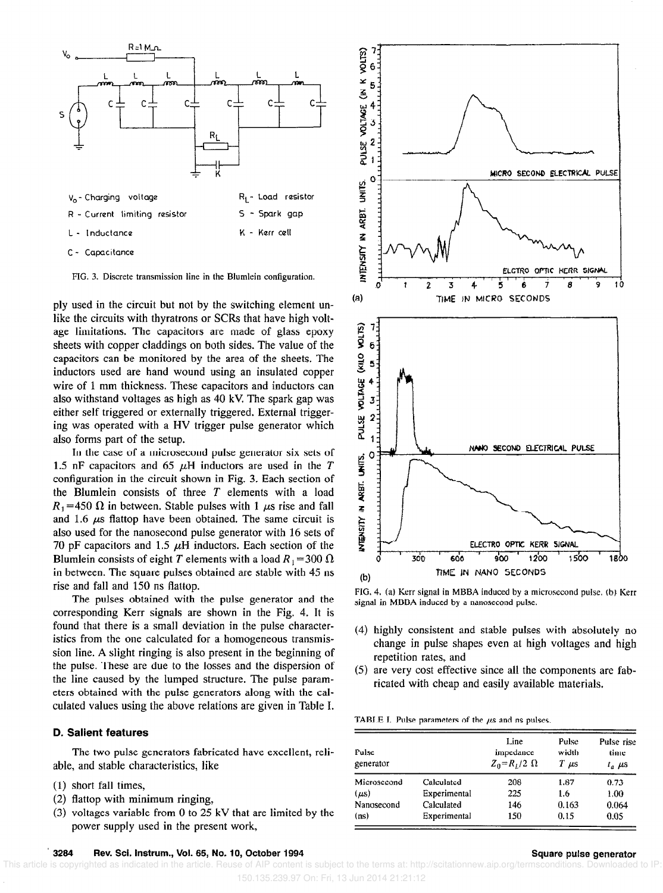

FIG. 3. Discrete transmission line in the Blumlein configuration.

ply used in the circuit but not by the switching element unlike the circuits with thyratrons or SCRs that have high voltage limitations. The capacitors are made of glass epoxy sheets with copper claddings on both sides. The value of the capacitors can be monitored by the area of the sheets. The inductors used are hand wound using an insulated copper wire of 1 mm thickness. These capacitors and inductors can also withstand voltages as high as 40 kV. The spark gap was either self triggered or externally triggered. External triggering was operated with a HV trigger pulse generator which also forms part of the setup.

In the case of a microsecond pulse generator six sets of 1.5 nF capacitors and 65  $\mu$ H inductors are used in the T configuration in the circuit shown in Fig, 3. Each section of the Blumlein consists of three  $T$  elements with a load  $R_1$  =450  $\Omega$  in between. Stable pulses with 1  $\mu$ s rise and fall and 1.6  $\mu$ s flattop have been obtained. The same circuit is also used for the nanosecond pulse generator with 16 sets of 70 pF capacitors and 1.5  $\mu$ H inductors. Each section of the Blumlein consists of eight T elements with a load  $R_1 = 300 \Omega$ in between. The square pulses obtained are stable with 45 ns rise and fall and 150 ns flattop.

The pulses obtained with the pulse generator and the corresponding Kerr signals are shown in the Fig. 4. It is found that there is a small deviation in the pulse characteristics from the one calculated for a homogeneous transmission line. A slight ringing is also present in the beginning of the pulse. These are due to the losses and the dispersion of the line caused by the lumped structure. The pulse parameters obtained with the pulse generators along with the calculated values using the above relations are given in Table I.

## D. Salient features

The two pulse generators fabricated have excellent, reliable, and stable characteristics, like

- (1) short fall times,
- (2) flattop with minimum ringing,
- (3) voltages variable from 0 to 25 kV that are limited by the power supply used in the present work,



FIG. 4. (a) Kerr signal in MBBA induced by a microsecond pulse. (b) Kerr signal in MBBA induced by a nanosecond pulse.

- (4) highly consistent and stable pulses with absolutely no change in pulse shapes even at high voltages and high repetition rates, and
- (5) are very cost effective since all the components are fabricated with cheap and easily available materials.

TABLE I. Pulse parameters of the  $\mu$ s and ns pulses.

| Pulse<br>generator |              | Line<br>impedance<br>$Z_0 = R_L/2 \Omega$ | Pulse<br>width<br>T<br>$\mu$ s | Pulse rise<br>time<br>$t_a$ $\mu$ s |
|--------------------|--------------|-------------------------------------------|--------------------------------|-------------------------------------|
| Microsecond        | Calculated   | 208                                       | 1.87                           | 0.73                                |
| (us)               | Experimental | 225                                       | 1.6                            | 1.00                                |
| Nanosecond         | Calculated   | 146                                       | 0.163                          | 0.064                               |
| (ns)               | Experimental | 150                                       | 0.15                           | 0.05                                |

#### 3284 Rev. Sci. Instrum., Vol. 65, No. 10, October 1994 Square pulse generator Square pulse generator

 This article is copyrighted as indicated in the article. Reuse of AIP content is subject to the terms at: http://scitationnew.aip.org/termsconditions. Downloaded to IP: 150.135.239.97 On: Fri, 13 Jun 2014 21:21:12